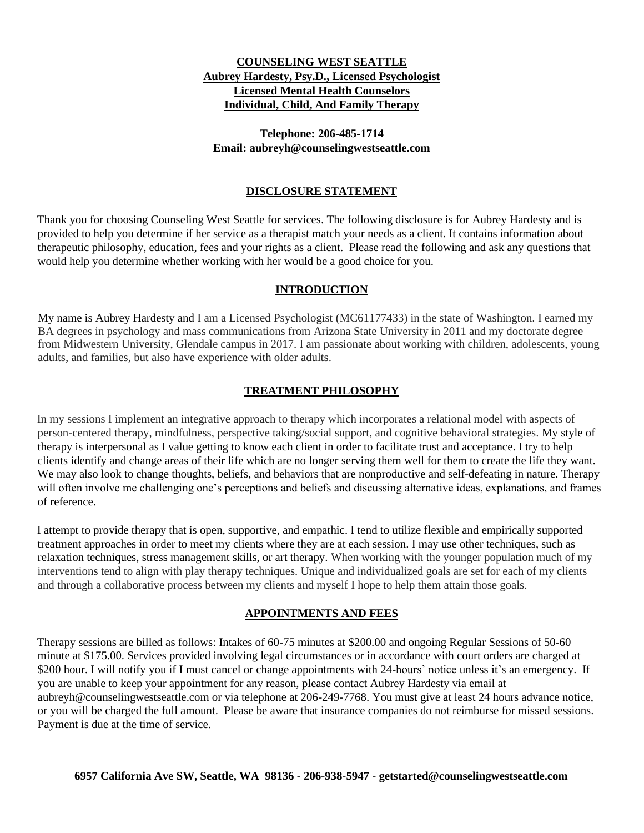# **COUNSELING WEST SEATTLE Aubrey Hardesty, Psy.D., Licensed Psychologist Licensed Mental Health Counselors Individual, Child, And Family Therapy**

## **Telephone: 206-485-1714 Email: aubreyh@counselingwestseattle.com**

## **DISCLOSURE STATEMENT**

Thank you for choosing Counseling West Seattle for services. The following disclosure is for Aubrey Hardesty and is provided to help you determine if her service as a therapist match your needs as a client. It contains information about therapeutic philosophy, education, fees and your rights as a client. Please read the following and ask any questions that would help you determine whether working with her would be a good choice for you.

## **INTRODUCTION**

My name is Aubrey Hardesty and I am a Licensed Psychologist (MC61177433) in the state of Washington. I earned my BA degrees in psychology and mass communications from Arizona State University in 2011 and my doctorate degree from Midwestern University, Glendale campus in 2017. I am passionate about working with children, adolescents, young adults, and families, but also have experience with older adults.

## **TREATMENT PHILOSOPHY**

In my sessions I implement an integrative approach to therapy which incorporates a relational model with aspects of person-centered therapy, mindfulness, perspective taking/social support, and cognitive behavioral strategies. My style of therapy is interpersonal as I value getting to know each client in order to facilitate trust and acceptance. I try to help clients identify and change areas of their life which are no longer serving them well for them to create the life they want. We may also look to change thoughts, beliefs, and behaviors that are nonproductive and self-defeating in nature. Therapy will often involve me challenging one's perceptions and beliefs and discussing alternative ideas, explanations, and frames of reference.

I attempt to provide therapy that is open, supportive, and empathic. I tend to utilize flexible and empirically supported treatment approaches in order to meet my clients where they are at each session. I may use other techniques, such as relaxation techniques, stress management skills, or art therapy. When working with the younger population much of my interventions tend to align with play therapy techniques. Unique and individualized goals are set for each of my clients and through a collaborative process between my clients and myself I hope to help them attain those goals.

### **APPOINTMENTS AND FEES**

Therapy sessions are billed as follows: Intakes of 60-75 minutes at \$200.00 and ongoing Regular Sessions of 50-60 minute at \$175.00. Services provided involving legal circumstances or in accordance with court orders are charged at \$200 hour. I will notify you if I must cancel or change appointments with 24-hours' notice unless it's an emergency. If you are unable to keep your appointment for any reason, please contact Aubrey Hardesty via email at aubreyh@counselingwestseattle.com or via telephone at 206-249-7768. You must give at least 24 hours advance notice, or you will be charged the full amount. Please be aware that insurance companies do not reimburse for missed sessions. Payment is due at the time of service.